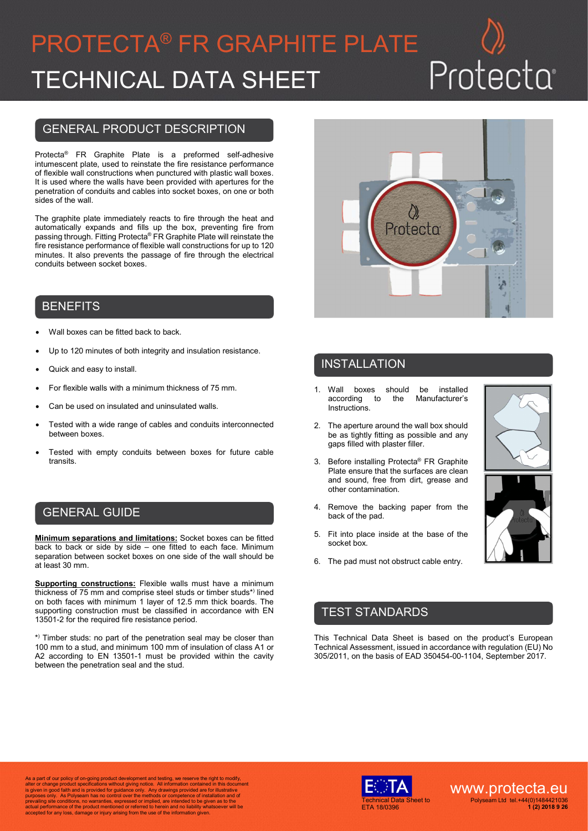# PROTECTA® FR GRAPHITE PLATE TECHNICAL DATA SHEET

# Protecta

### GENERAL PRODUCT DESCRIPTION

Protecta® FR Graphite Plate is a preformed self-adhesive intumescent plate, used to reinstate the fire resistance performance of flexible wall constructions when punctured with plastic wall boxes. It is used where the walls have been provided with apertures for the penetration of conduits and cables into socket boxes, on one or both sides of the wall.

The graphite plate immediately reacts to fire through the heat and automatically expands and fills up the box, preventing fire from passing through. Fitting Protecta® FR Graphite Plate will reinstate the fire resistance performance of flexible wall constructions for up to 120 minutes. It also prevents the passage of fire through the electrical conduits between socket boxes.

#### **BENEFITS**

- Wall boxes can be fitted back to back.
- Up to 120 minutes of both integrity and insulation resistance.
- Quick and easy to install.
- For flexible walls with a minimum thickness of 75 mm.
- Can be used on insulated and uninsulated walls.
- Tested with a wide range of cables and conduits interconnected between boxes.
- Tested with empty conduits between boxes for future cable transits.

#### GENERAL GUIDE

**Minimum separations and limitations:** Socket boxes can be fitted back to back or side by side – one fitted to each face. Minimum separation between socket boxes on one side of the wall should be at least 30 mm.

**Supporting constructions:** Flexible walls must have a minimum thickness of 75 mm and comprise steel studs or timber studs\*) lined on both faces with minimum 1 layer of 12.5 mm thick boards. The supporting construction must be classified in accordance with EN 13501-2 for the required fire resistance period.

\* ) Timber studs: no part of the penetration seal may be closer than 100 mm to a stud, and minimum 100 mm of insulation of class A1 or A2 according to EN 13501-1 must be provided within the cavity between the penetration seal and the stud.



## INSTALLATION

- 1. Wall boxes should be installed to the Manufacturer's Instructions.
- 2. The aperture around the wall box should be as tightly fitting as possible and any gaps filled with plaster filler.
- 3. Before installing Protecta® FR Graphite Plate ensure that the surfaces are clean and sound, free from dirt, grease and other contamination.
- 4. Remove the backing paper from the back of the pad.
- 5. Fit into place inside at the base of the socket box.
- 6. The pad must not obstruct cable entry.



#### TEST STANDARDS

This Technical Data Sheet is based on the product's European Technical Assessment, issued in accordance with regulation (EU) No 305/2011, on the basis of EAD 350454-00-1104, September 2017.

As a part of our policy of on-going product development and testing, we reserve the right to modify,<br>alter or change product specifications without giving notice. All information contained in this document<br>is given in good accepted for any loss, damage or injury arising from the use of the information given.